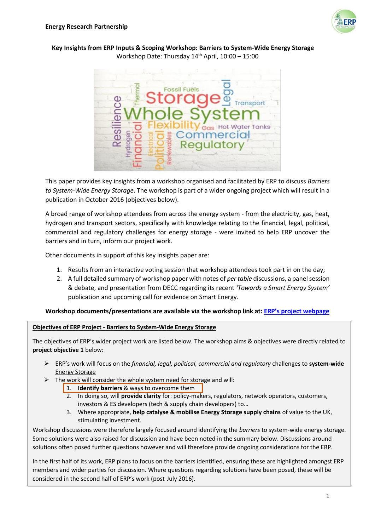

### **Key Insights from ERP Inputs & Scoping Workshop: Barriers to System-Wide Energy Storage** Workshop Date: Thursday  $14<sup>th</sup>$  April,  $10:00 - 15:00$



This paper provides key insights from a workshop organised and facilitated by ERP to discuss *Barriers to System-Wide Energy Storage*. The workshop is part of a wider ongoing project which will result in a publication in October 2016 (objectives below).

A broad range of workshop attendees from across the energy system - from the electricity, gas, heat, hydrogen and transport sectors, specifically with knowledge relating to the financial, legal, political, commercial and regulatory challenges for energy storage - were invited to help ERP uncover the barriers and in turn, inform our project work.

Other documents in support of this key insights paper are:

- 1. Results from an interactive voting session that workshop attendees took part in on the day;
- 2. A full detailed summary of workshop paper with notes of *per table* discussions, a panel session & debate, and presentation from DECC regarding its recent *'Towards a Smart Energy System'* publication and upcoming call for evidence on Smart Energy.

### **Workshop documents/presentations are available via the workshop link at: ERP's [project webpage](http://erpuk.org/project/barriers-system-wide-energy-storage/)**

### **Objectives of ERP Project - Barriers to System-Wide Energy Storage**

The objectives of ERP's wider project work are listed below. The workshop aims & objectives were directly related to **project objective 1** below:

- ERP's work will focus on the *financial, legal, political, commercial and regulatory* challenges to **system-wide** Energy Storage
- $\triangleright$  The work will consider the whole system need for storage and will:
	- 1. **Identify barriers** & ways to overcome them
	- 2. In doing so, will **provide clarity** for: policy-makers, regulators, network operators, customers, investors & ES developers (tech & supply chain developers) to…
	- 3. Where appropriate, **help catalyse & mobilise Energy Storage supply chains** of value to the UK, stimulating investment.

Workshop discussions were therefore largely focused around identifying the *barriers* to system-wide energy storage. Some solutions were also raised for discussion and have been noted in the summary below. Discussions around solutions often posed further questions however and will therefore provide ongoing considerations for the ERP.

In the first half of its work, ERP plans to focus on the barriers identified, ensuring these are highlighted amongst ERP members and wider parties for discussion. Where questions regarding solutions have been posed, these will be considered in the second half of ERP's work (post-July 2016).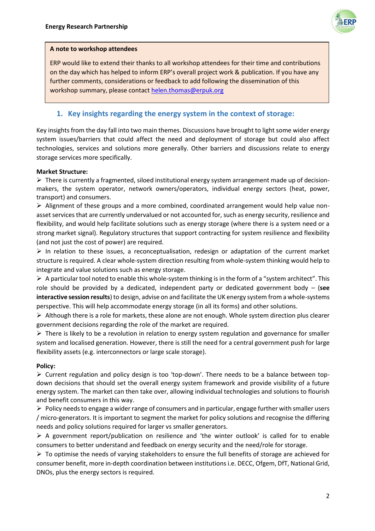

### **A note to workshop attendees**

ERP would like to extend their thanks to all workshop attendees for their time and contributions on the day which has helped to inform ERP's overall project work & publication. If you have any further comments, considerations or feedback to add following the dissemination of this workshop summary, please contact [helen.thomas@erpuk.org](mailto:helen.thomas@erpuk.org)

# **1. Key insights regarding the energy system in the context of storage:**

Key insights from the day fall into two main themes. Discussions have brought to light some wider energy system issues/barriers that could affect the need and deployment of storage but could also affect technologies, services and solutions more generally. Other barriers and discussions relate to energy storage services more specifically.

### **Market Structure:**

 There is currently a fragmented, siloed institutional energy system arrangement made up of decisionmakers, the system operator, network owners/operators, individual energy sectors (heat, power, transport) and consumers.

 Alignment of these groups and a more combined, coordinated arrangement would help value nonasset services that are currently undervalued or not accounted for, such as energy security, resilience and flexibility, and would help facilitate solutions such as energy storage (where there is a system need or a strong market signal). Regulatory structures that support contracting for system resilience and flexibility (and not just the cost of power) are required.

 $\triangleright$  In relation to these issues, a reconceptualisation, redesign or adaptation of the current market structure is required. A clear whole-system direction resulting from whole-system thinking would help to integrate and value solutions such as energy storage.

 $\triangleright$  A particular tool noted to enable this whole-system thinking is in the form of a "system architect". This role should be provided by a dedicated, independent party or dedicated government body – (**see interactive session results**) to design, advise on and facilitate the UK energy system from a whole-systems perspective. This will help accommodate energy storage (in all its forms) and other solutions.

 $\triangleright$  Although there is a role for markets, these alone are not enough. Whole system direction plus clearer government decisions regarding the role of the market are required.

 $\triangleright$  There is likely to be a revolution in relation to energy system regulation and governance for smaller system and localised generation. However, there is still the need for a central government push for large flexibility assets (e.g. interconnectors or large scale storage).

### **Policy:**

 $\triangleright$  Current regulation and policy design is too 'top-down'. There needs to be a balance between topdown decisions that should set the overall energy system framework and provide visibility of a future energy system. The market can then take over, allowing individual technologies and solutions to flourish and benefit consumers in this way.

 $\triangleright$  Policy needs to engage a wider range of consumers and in particular, engage further with smaller users / micro-generators. It is important to segment the market for policy solutions and recognise the differing needs and policy solutions required for larger vs smaller generators.

 $\triangleright$  A government report/publication on resilience and 'the winter outlook' is called for to enable consumers to better understand and feedback on energy security and the need/role for storage.

 $\triangleright$  To optimise the needs of varying stakeholders to ensure the full benefits of storage are achieved for consumer benefit, more in-depth coordination between institutions i.e. DECC, Ofgem, DfT, National Grid, DNOs, plus the energy sectors is required.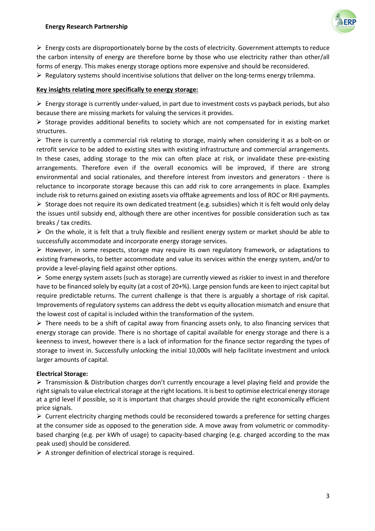

 $\triangleright$  Energy costs are disproportionately borne by the costs of electricity. Government attempts to reduce the carbon intensity of energy are therefore borne by those who use electricity rather than other/all forms of energy. This makes energy storage options more expensive and should be reconsidered.  $\triangleright$  Regulatory systems should incentivise solutions that deliver on the long-terms energy trilemma.

## **Key insights relating more specifically to energy storage:**

 $\triangleright$  Energy storage is currently under-valued, in part due to investment costs vs payback periods, but also because there are missing markets for valuing the services it provides.

 $\triangleright$  Storage provides additional benefits to society which are not compensated for in existing market structures.

 $\triangleright$  There is currently a commercial risk relating to storage, mainly when considering it as a bolt-on or retrofit service to be added to existing sites with existing infrastructure and commercial arrangements. In these cases, adding storage to the mix can often place at risk, or invalidate these pre-existing arrangements. Therefore even if the overall economics will be improved, if there are strong environmental and social rationales, and therefore interest from investors and generators - there is reluctance to incorporate storage because this can add risk to core arrangements in place. Examples include risk to returns gained on existing assets via offtake agreements and loss of ROC or RHI payments.  $\triangleright$  Storage does not require its own dedicated treatment (e.g. subsidies) which it is felt would only delay the issues until subsidy end, although there are other incentives for possible consideration such as tax

breaks / tax credits.  $\triangleright$  On the whole, it is felt that a truly flexible and resilient energy system or market should be able to successfully accommodate and incorporate energy storage services.

 $\triangleright$  However, in some respects, storage may require its own regulatory framework, or adaptations to existing frameworks, to better accommodate and value its services within the energy system, and/or to provide a level-playing field against other options.

 $\triangleright$  Some energy system assets (such as storage) are currently viewed as riskier to invest in and therefore have to be financed solely by equity (at a cost of 20+%). Large pension funds are keen to inject capital but require predictable returns. The current challenge is that there is arguably a shortage of risk capital. Improvements of regulatory systems can address the debt vs equity allocation mismatch and ensure that the lowest cost of capital is included within the transformation of the system.

 $\triangleright$  There needs to be a shift of capital away from financing assets only, to also financing services that energy storage can provide. There is no shortage of capital available for energy storage and there is a keenness to invest, however there is a lack of information for the finance sector regarding the types of storage to invest in. Successfully unlocking the initial 10,000s will help facilitate investment and unlock larger amounts of capital.

### **Electrical Storage:**

 Transmission & Distribution charges don't currently encourage a level playing field and provide the right signals to value electrical storage at the right locations. It is best to optimise electrical energy storage at a grid level if possible, so it is important that charges should provide the right economically efficient price signals.

 $\triangleright$  Current electricity charging methods could be reconsidered towards a preference for setting charges at the consumer side as opposed to the generation side. A move away from volumetric or commoditybased charging (e.g. per kWh of usage) to capacity-based charging (e.g. charged according to the max peak used) should be considered.

 $\triangleright$  A stronger definition of electrical storage is required.